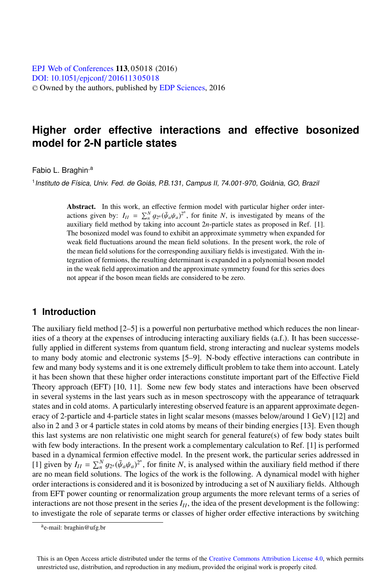[DOI: 10.1051](http://dx.doi.org/10.1051/epjconf/201611305018)/epjconf/201611305018 © Owned by the authors, published by [EDP Sciences](http://www.edpsciences.org), 2016 **EPJ Web of [Conferences](http://www.epj-conferences.org) 113, 05018 (2016)** 

# **Higher order effective interactions and effective bosonized model for 2-N particle states**

Fabio L. Braghin<sup>,a</sup>

<sup>1</sup> Instituto de Física, Univ. Fed. de Goiás, P.B.131, Campus II, 74.001-970, Goiânia, GO, Brazil

Abstract. In this work, an effective fermion model with particular higher order interactions given by:  $I_{II} = \sum_{n=1}^{N} g_{2^n} (\bar{\psi}_a \psi_a)^{2^n}$ , for finite *N*, is investigated by means of the auxiliary field method by taking into account 2*n*-particle states as proposed in Ref. [1] auxiliary field method by taking into account 2*n*-particle states as proposed in Ref. [1]. The bosonized model was found to exhibit an approximate symmetry when expanded for weak field fluctuations around the mean field solutions. In the present work, the role of the mean field solutions for the corresponding auxiliary fields is investigated. With the integration of fermions, the resulting determinant is expanded in a polynomial boson model in the weak field approximation and the approximate symmetry found for this series does not appear if the boson mean fields are considered to be zero.

### **1 Introduction**

The auxiliary field method [2–5] is a powerful non perturbative method which reduces the non linearities of a theory at the expenses of introducing interacting auxiliary fields (a.f.). It has been successefully applied in different systems from quantum field, strong interacting and nuclear systems models to many body atomic and electronic systems [5–9]. N-body effective interactions can contribute in few and many body systems and it is one extremely difficult problem to take them into account. Lately it has been shown that these higher order interactions constitute important part of the Effective Field Theory approach (EFT) [10, 11]. Some new few body states and interactions have been observed in several systems in the last years such as in meson spectroscopy with the appearance of tetraquark states and in cold atoms. A particularly interesting observed feature is an apparent approximate degeneracy of 2-particle and 4-particle states in light scalar mesons (masses below/around 1 GeV) [12] and also in 2 and 3 or 4 particle states in cold atoms by means of their binding energies [13]. Even though this last systems are non relativistic one might search for general feature(s) of few body states built with few body interactions. In the present work a complementary calculation to Ref. [1] is performed based in a dynamical fermion effective model. In the present work, the particular series addressed in [1] given by  $I_{II} = \sum_{n=0}^{N} g_{2n} (\bar{\psi}_a \psi_a)^{2n}$ , for finite *N*, is analysed within the auxiliary field method if there are no mean field solutions. The logics of the work is the following. A dynamical model with higher order interactions is considered and it is bosonized by introducing a set of N auxiliary fields. Although from EFT power counting or renormalization group arguments the more relevant terms of a series of interactions are not those present in the series  $I_{II}$ , the idea of the present development is the following: to investigate the role of separate terms or classes of higher order effective interactions by switching

ae-mail: braghin@ufg.br

This is an Open Access article distributed under the terms of the Creative Commons Attribution License 4.0, which permits unrestricted use, distribution, and reproduction in any medium, provided the original work is properly cited.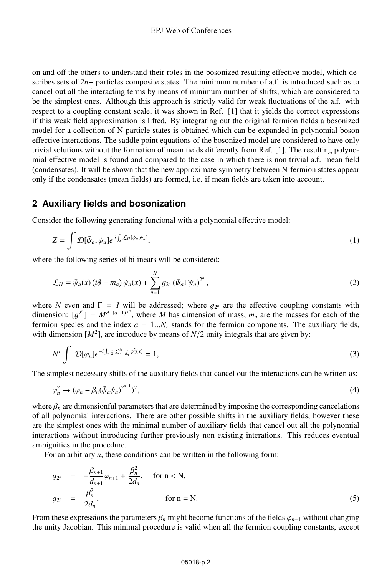on and off the others to understand their roles in the bosonized resulting effective model, which describes sets of 2*n*− particles composite states. The minimum number of a.f. is introduced such as to cancel out all the interacting terms by means of minimum number of shifts, which are considered to be the simplest ones. Although this approach is strictly valid for weak fluctuations of the a.f. with respect to a coupling constant scale, it was shown in Ref. [1] that it yields the correct expressions if this weak field approximation is lifted. By integrating out the original fermion fields a bosonized model for a collection of N-particle states is obtained which can be expanded in polynomial boson effective interactions. The saddle point equations of the bosonized model are considered to have only trivial solutions without the formation of mean fields differently from Ref. [1]. The resulting polynomial effective model is found and compared to the case in which there is non trivial a.f. mean field (condensates). It will be shown that the new approximate symmetry between N-fermion states appear only if the condensates (mean fields) are formed, i.e. if mean fields are taken into account.

### **2 Auxiliary fields and bosonization**

Consider the following generating funcional with a polynomial effective model:

$$
Z = \int \mathcal{D}[\bar{\psi}_a, \psi_a] e^{i \int_x \mathcal{L}_{II}[\psi_a, \bar{\psi}_a]}, \tag{1}
$$

where the following series of bilinears will be considered:

$$
\mathcal{L}_{II} = \bar{\psi}_a(x) \left(i\partial - m_a\right) \psi_a(x) + \sum_{n=1}^N g_{2^n} \left(\bar{\psi}_a \Gamma \psi_a\right)^{2^n},\tag{2}
$$

where *N* even and  $\Gamma = I$  will be addressed; where  $g_{2^n}$  are the effective coupling constants with dimension:  $[g^{2^n}] = M^{d-(d-1)2^n}$ , where *M* has dimension of mass,  $m_a$  are the masses for each of the fermion species and the index  $a = 1$ , *N* stands for the fermion components. The auxiliary fields fermion species and the index  $a = 1...N_r$  stands for the fermion components. The auxiliary fields, with dimension  $[M^2]$ , are introduce by means of  $N/2$  unity integrals that are given by:

$$
N' \int \mathcal{D}[\varphi_n] e^{-i \int_x \frac{1}{2} \sum_n^N \frac{1}{d_n} \varphi_n^2(x)} = 1,
$$
\n
$$
(3)
$$

The simplest necessary shifts of the auxiliary fields that cancel out the interactions can be written as:

$$
\varphi_n^2 \to (\varphi_n - \beta_n(\bar{\psi}_a \psi_a)^{2^{n-1}})^2,
$$
\n(4)

where  $\beta_n$  are dimensionful parameters that are determined by imposing the corresponding cancelations of all polynomial interactions. There are other possible shifts in the auxiliary fields, however these are the simplest ones with the minimal number of auxiliary fields that cancel out all the polynomial interactions without introducing further previously non existing interations. This reduces eventual ambiguities in the procedure.

For an arbitrary *n*, these conditions can be written in the following form:

$$
g_{2^n} = -\frac{\beta_{n+1}}{d_{n+1}}\varphi_{n+1} + \frac{\beta_n^2}{2d_n}, \quad \text{for } n < N,
$$
  

$$
g_{2^n} = \frac{\beta_n^2}{2d_n}, \quad \text{for } n = N.
$$
 (5)

From these expressions the parameters  $\beta_n$  might become functions of the fields  $\varphi_{n+1}$  without changing the unity Jacobian. This minimal procedure is valid when all the fermion coupling constants, except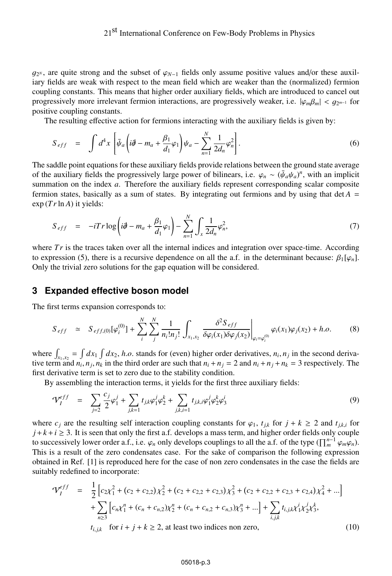*g*<sub>2</sub><sup>*N*</sup>, are quite strong and the subset of  $\varphi$ <sub>*N*−1</sub> fields only assume positive values and/or these auxiliary fields are weak with respect to the mean field which are weaker than the (normalized) fermion coupling constants. This means that higher order auxiliary fields, which are introduced to cancel out progressively more irrelevant fermion interactions, are progressively weaker, i.e.  $|\varphi_m\beta_m| < g_{2^{m-1}}$  for positive coupling constants.

The resulting effective action for fermions interacting with the auxiliary fields is given by:

$$
S_{eff} = \int d^4x \left[ \bar{\psi}_a \left( i \partial - m_a + \frac{\beta_1}{d_1} \varphi_1 \right) \psi_a - \sum_{n=1}^N \frac{1}{2d_n} \varphi_n^2 \right]. \tag{6}
$$

The saddle point equations for these auxiliary fields provide relations between the ground state average of the auxiliary fields the progressively large power of bilinears, i.e.  $\varphi_n \sim (\bar{\psi}_a \psi_a)^n$ , with an implicit summation on the index *a*. Therefore the auxiliary fields represent corresponding scalar composite fermion states, basically as a sum of states. By integrating out fermions and by using that  $det A =$  $\exp(Tr\ln A)$  it yields:

$$
S_{eff} = -iTr \log \left( i\partial - m_a + \frac{\beta_1}{d_1} \varphi_1 \right) - \sum_{n=1}^{N} \int_{x} \frac{1}{2d_n} \varphi_n^2, \tag{7}
$$

where  $Tr$  is the traces taken over all the internal indices and integration over space-time. According to expression (5), there is a recursive dependence on all the a.f. in the determinant because:  $\beta_1[\varphi_n]$ . Only the trivial zero solutions for the gap equation will be considered.

#### **3 Expanded effective boson model**

The first terms expansion corresponds to:

$$
S_{eff} \simeq S_{eff,(0)}[\varphi_i^{(0)}] + \sum_{i}^{N} \sum_{j}^{N} \frac{1}{n_i! n_j!} \int_{x_1, x_2} \frac{\delta^2 S_{eff}}{\delta \varphi_i(x_1) \delta \varphi_j(x_2)} \bigg|_{\varphi_i = \varphi_i^{(0)}} \varphi_i(x_1) \varphi_j(x_2) + h.o. \tag{8}
$$

where  $\int_{x_1, x_2} = \int dx_1 \int dx_2$ , *h.o.* stands for (even) higher order derivatives,  $n_i$ ,  $n_j$  in the second deriva-<br>tive term and  $n_i$ ,  $n_j$ ,  $n_j$  in the third order are such that  $n_i + n_j = 2$  and  $n_j + n_j + n_j = 3$  respectively where  $\int_{x_1, x_2} - \int dx_1 \int dx_2$ , *n.o.* stands for (even) higher order derivatives,  $n_i$ ,  $n_j$  in the second derivative term and  $n_i$ ,  $n_j$ ,  $n_k$  in the third order are such that  $n_i + n_j = 2$  and  $n_i + n_j + n_k = 3$  respectively. first derivative term is set to zero due to the stability condition.

By assembling the interaction terms, it yields for the first three auxiliary fields:

$$
\mathcal{V}_I^{eff} = \sum_{j=2}^{C} \frac{c_j}{2} \varphi_1^j + \sum_{j,k=1}^{C} t_{j,k} \varphi_1^j \varphi_2^k + \sum_{j,k,i=1}^{C} t_{j,k,i} \varphi_1^j \varphi_2^k \varphi_3^i \tag{9}
$$

where  $c_j$  are the resulting self interaction coupling constants for  $\varphi_1$ ,  $t_{ik}$  for  $j + k \geq 2$  and  $t_{ik,i}$  for  $j + k + i \geq 3$ . It is seen that only the first a.f. develops a mass term, and higher order fields only couple to successively lower order a.f., i.e.  $\varphi_n$  only develops couplings to all the a.f. of the type  $(\prod_{m}^{n-1} \varphi_m \varphi_n)$ . This is a result of the zero condensates case. For the sake of comparison the following expression obtained in Ref. [1] is reproduced here for the case of non zero condensates in the case the fields are suitably redefined to incorporate:

$$
\mathcal{V}_I^{eff} = \frac{1}{2} \left[ c_2 \chi_1^2 + (c_2 + c_{2,2}) \chi_2^2 + (c_2 + c_{2,2} + c_{2,3}) \chi_3^2 + (c_2 + c_{2,2} + c_{2,3} + c_{2,4}) \chi_4^2 + \ldots \right] + \sum_{n \ge 3} \left[ c_n \chi_1^n + (c_n + c_{n,2}) \chi_2^n + (c_n + c_{n,2} + c_{n,3}) \chi_3^n + \ldots \right] + \sum_{i,j,k} t_{i,j,k} \chi_1^i \chi_2^j \chi_3^k,
$$
  
 $t_{i,j,k}$  for  $i + j + k \ge 2$ , at least two indices non zero, (10)